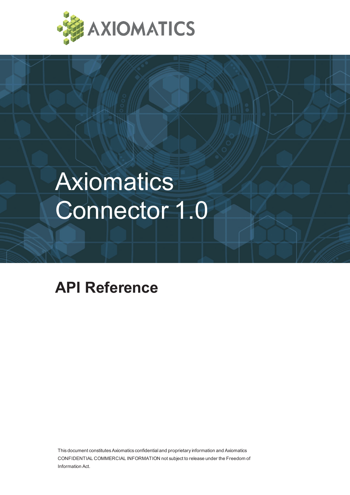

# **Axiomatics** Connector 1.0

## **API Reference**

This document constitutes Axiomatics confidential and proprietary information and Axiomatics CONFIDENTIAL COMMERCIAL INFORMATION not subject to release under the Freedom of Information Act.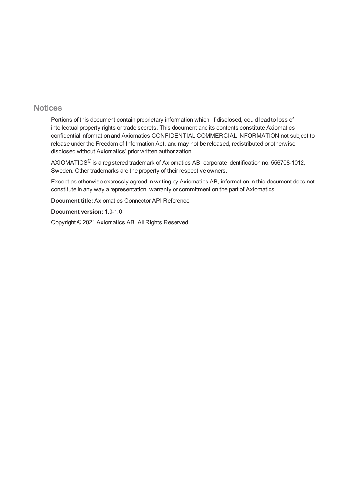#### **Notices**

Portions of this document contain proprietary information which, if disclosed, could lead to loss of intellectual property rights or trade secrets. This document and its contents constitute Axiomatics confidential information and Axiomatics CONFIDENTIAL COMMERCIAL INFORMATION not subject to release under the Freedom of Information Act, and may not be released, redistributed or otherwise disclosed without Axiomatics' prior written authorization.

AXIOMATICS® is a registered trademark of Axiomatics AB, corporate identification no. 556708-1012, Sweden. Other trademarks are the property of their respective owners.

Except as otherwise expressly agreed in writing by Axiomatics AB, information in this document does not constitute in any way a representation, warranty or commitment on the part of Axiomatics.

**Document title:** Axiomatics Connector API Reference

**Document version:** 1.0-1.0

Copyright © 2021 Axiomatics AB. All Rights Reserved.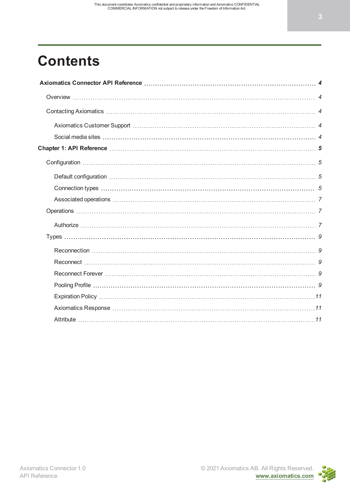## **Contents**

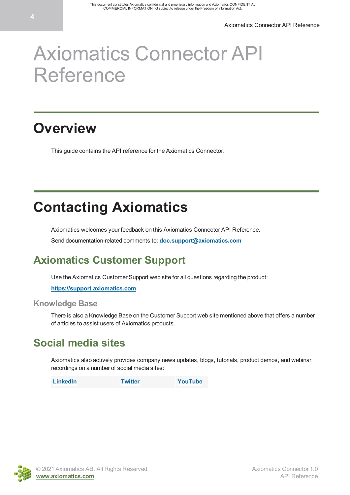## <span id="page-3-0"></span>Axiomatics Connector API Reference

### <span id="page-3-1"></span>**Overview**

This guide contains the API reference for the Axiomatics Connector.

## <span id="page-3-2"></span>**Contacting Axiomatics**

Axiomatics welcomes your feedback on this Axiomatics Connector API Reference.

Send documentation-related comments to: **[doc.support@axiomatics.com](mailto:doc.support@axiomatics.com)**

### <span id="page-3-3"></span>**Axiomatics Customer Support**

Use the Axiomatics Customer Support web site for all questions regarding the product:

**[https://support.axiomatics.com](https://support.axiomatics.com/)**

#### **Knowledge Base**

There is also a Knowledge Base on the Customer Support web site mentioned above that offers a number of articles to assist users of Axiomatics products.

#### <span id="page-3-4"></span>**Social media sites**

Axiomatics also actively provides company news updates, blogs, tutorials, product demos, and webinar recordings on a number of social media sites:

**[LinkedIn](https://www.linkedin.com/company/536082) [Twitter](https://twitter.com/axiomatics) [YouTube](https://www.youtube.com/user/axiomaticsab)**

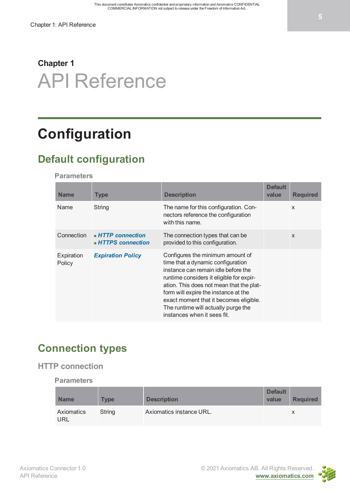## <span id="page-4-0"></span>**Chapter 1** API Reference

## <span id="page-4-1"></span>**Configuration**

### <span id="page-4-2"></span>**Default configuration**

**Parameters**

| <b>Name</b>          | <b>Type</b>                                               | <b>Description</b>                                                                                                                                                                                                                                                                                                                                           | <b>Default</b><br>value | <b>Required</b>           |
|----------------------|-----------------------------------------------------------|--------------------------------------------------------------------------------------------------------------------------------------------------------------------------------------------------------------------------------------------------------------------------------------------------------------------------------------------------------------|-------------------------|---------------------------|
| Name                 | String                                                    | The name for this configuration. Con-<br>nectors reference the configuration<br>with this name.                                                                                                                                                                                                                                                              |                         | $\mathsf{x}$              |
| Connection           | $\blacksquare$ HTTP connection<br><b>HTTPS</b> connection | The connection types that can be<br>provided to this configuration.                                                                                                                                                                                                                                                                                          |                         | $\boldsymbol{\mathsf{x}}$ |
| Expiration<br>Policy | <b>Expiration Policy</b>                                  | Configures the minimum amount of<br>time that a dynamic configuration<br>instance can remain idle before the<br>runtime considers it eligible for expir-<br>ation. This does not mean that the plat-<br>form will expire the instance at the<br>exact moment that it becomes eligible.<br>The runtime will actually purge the<br>instances when it sees fit. |                         |                           |

### <span id="page-4-3"></span>**Connection types**

#### <span id="page-4-4"></span>**HTTP connection**

**Parameters**

| <b>Name</b>       | <b>Type</b> | <b>Description</b>       | <b>Default</b><br>value | <b>Required</b> |
|-------------------|-------------|--------------------------|-------------------------|-----------------|
| Axiomatics<br>URL | String      | Axiomatics instance URL. |                         |                 |

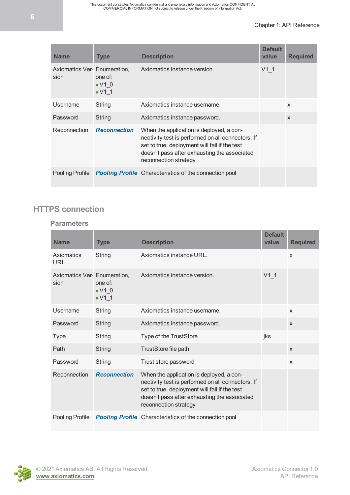#### Chapter 1: API Reference

| <b>Name</b>                          | <b>Type</b>                                      | <b>Description</b>                                                                                                                                                                                                      | <b>Default</b><br>value | <b>Required</b>           |
|--------------------------------------|--------------------------------------------------|-------------------------------------------------------------------------------------------------------------------------------------------------------------------------------------------------------------------------|-------------------------|---------------------------|
| Axiomatics Ver- Enumeration,<br>sion | one of:<br>$\bullet$ V1 0<br>$\blacksquare$ V1 1 | Axiomatics instance version.                                                                                                                                                                                            | $V1$ 1                  |                           |
| Username                             | String                                           | Axiomatics instance username.                                                                                                                                                                                           |                         | $\boldsymbol{\mathsf{x}}$ |
| Password                             | String                                           | Axiomatics instance password.                                                                                                                                                                                           |                         | $\boldsymbol{\mathsf{X}}$ |
| Reconnection                         | <b>Reconnection</b>                              | When the application is deployed, a con-<br>nectivity test is performed on all connectors. If<br>set to true, deployment will fail if the test<br>doesn't pass after exhausting the associated<br>reconnection strategy |                         |                           |
| <b>Pooling Profile</b>               |                                                  | <b>Pooling Profile</b> Characteristics of the connection pool                                                                                                                                                           |                         |                           |

#### <span id="page-5-0"></span>**HTTPS connection**

#### **Parameters**

| <b>Name</b>                          | <b>Type</b>                                      | <b>Description</b>                                                                                                                                                                                                      | <b>Default</b><br>value | <b>Required</b> |
|--------------------------------------|--------------------------------------------------|-------------------------------------------------------------------------------------------------------------------------------------------------------------------------------------------------------------------------|-------------------------|-----------------|
| Axiomatics<br>URL                    | String                                           | Axiomatics instance URL.                                                                                                                                                                                                |                         | $\mathsf{x}$    |
| Axiomatics Ver- Enumeration,<br>sion | one of:<br>$\bullet$ V1 0<br>$\blacksquare$ V1 1 | Axiomatics instance version.                                                                                                                                                                                            | $V1$ 1                  |                 |
| Username                             | String                                           | Axiomatics instance username.                                                                                                                                                                                           |                         | X               |
| Password                             | String                                           | Axiomatics instance password.                                                                                                                                                                                           |                         | $\mathsf{x}$    |
| <b>Type</b>                          | String                                           | Type of the TrustStore                                                                                                                                                                                                  | jks                     |                 |
| Path                                 | String                                           | TrustStore file path                                                                                                                                                                                                    |                         | $\mathsf{x}$    |
| Password                             | String                                           | Trust store password                                                                                                                                                                                                    |                         | X               |
| Reconnection                         | <b>Reconnection</b>                              | When the application is deployed, a con-<br>nectivity test is performed on all connectors. If<br>set to true, deployment will fail if the test<br>doesn't pass after exhausting the associated<br>reconnection strategy |                         |                 |
| Pooling Profile                      |                                                  | <b>Pooling Profile</b> Characteristics of the connection pool                                                                                                                                                           |                         |                 |

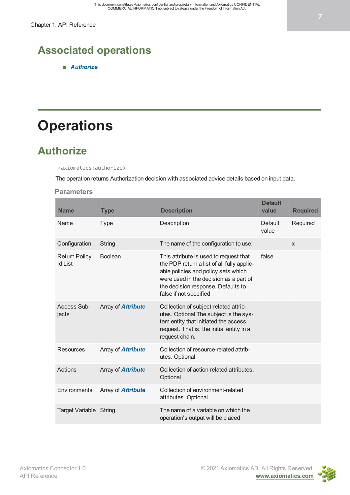### <span id="page-6-0"></span>**Associated operations**

*[Authorize](#page-6-2)*

## <span id="page-6-1"></span>**Operations**

### <span id="page-6-2"></span>**Authorize**

<axiomatics:authorize>

The operation returns Authorization decision with associated advice details based on input data.

#### **Parameters**

| <b>Name</b>                            | <b>Type</b>               | <b>Description</b>                                                                                                                                                                                                                    | <b>Default</b><br>value | <b>Required</b> |
|----------------------------------------|---------------------------|---------------------------------------------------------------------------------------------------------------------------------------------------------------------------------------------------------------------------------------|-------------------------|-----------------|
| Name                                   | <b>Type</b>               | Description                                                                                                                                                                                                                           | <b>Default</b><br>value | Required        |
| Configuration                          | String                    | The name of the configuration to use.                                                                                                                                                                                                 |                         | $\mathsf{x}$    |
| <b>Return Policy</b><br><b>Id List</b> | <b>Boolean</b>            | This attribute is used to request that<br>the PDP return a list of all fully applic-<br>able policies and policy sets which<br>were used in the decision as a part of<br>the decision response. Defaults to<br>false if not specified | false                   |                 |
| Access Sub-<br>jects                   | Array of <b>Attribute</b> | Collection of subject-related attrib-<br>utes. Optional The subject is the sys-<br>tem entity that initiated the access<br>request. That is, the initial entity in a<br>request chain.                                                |                         |                 |
| <b>Resources</b>                       | Array of <b>Attribute</b> | Collection of resource-related attrib-<br>utes. Optional                                                                                                                                                                              |                         |                 |
| Actions                                | Array of <b>Attribute</b> | Collection of action-related attributes.<br>Optional                                                                                                                                                                                  |                         |                 |
| Environments                           | Array of <b>Attribute</b> | Collection of environment-related<br>attributes. Optional                                                                                                                                                                             |                         |                 |
| Target Variable String                 |                           | The name of a variable on which the<br>operation's output will be placed                                                                                                                                                              |                         |                 |

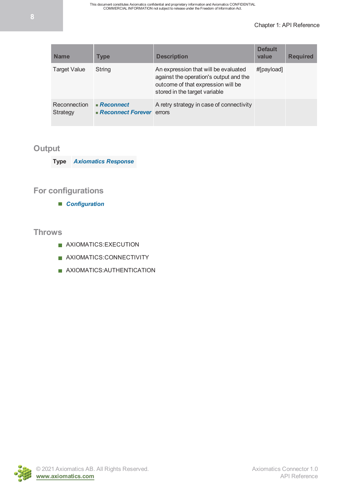#### Chapter 1: API Reference

| <b>Name</b>              | <b>Type</b>                                | <b>Description</b>                                                                                                                                    | <b>Default</b><br>value | <b>Required</b> |
|--------------------------|--------------------------------------------|-------------------------------------------------------------------------------------------------------------------------------------------------------|-------------------------|-----------------|
| <b>Target Value</b>      | String                                     | An expression that will be evaluated<br>against the operation's output and the<br>outcome of that expression will be<br>stored in the target variable | #[payload]              |                 |
| Reconnection<br>Strategy | $R$ econnect<br>• Reconnect Forever errors | A retry strategy in case of connectivity                                                                                                              |                         |                 |

#### **Output**

**Type** *[Axiomatics Response](#page-10-1)*

#### **For configurations**

*[Configuration](#page-4-1)*

#### **Throws**

- AXIOMATICS:EXECUTION
- AXIOMATICS:CONNECTIVITY
- **AXIOMATICS: AUTHENTICATION**

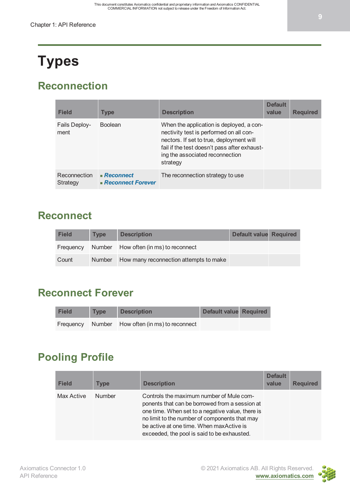## <span id="page-8-0"></span>**Types**

### <span id="page-8-1"></span>**Reconnection**

| <b>Field</b>             | <b>Type</b>                              | <b>Description</b>                                                                                                                                                                                                             | <b>Default</b><br>value | <b>Required</b> |
|--------------------------|------------------------------------------|--------------------------------------------------------------------------------------------------------------------------------------------------------------------------------------------------------------------------------|-------------------------|-----------------|
| Fails Deploy-<br>ment    | <b>Boolean</b>                           | When the application is deployed, a con-<br>nectivity test is performed on all con-<br>nectors. If set to true, deployment will<br>fail if the test doesn't pass after exhaust-<br>ing the associated reconnection<br>strategy |                         |                 |
| Reconnection<br>Strategy | $R$ econnect<br><b>Reconnect Forever</b> | The reconnection strategy to use                                                                                                                                                                                               |                         |                 |

#### <span id="page-8-2"></span>**Reconnect**

| <b>Field</b> | <b>Type</b> | <b>Description</b>                              | <b>Default value Required</b> |  |
|--------------|-------------|-------------------------------------------------|-------------------------------|--|
|              |             | Frequency Number How often (in ms) to reconnect |                               |  |
| Count        |             | Number How many reconnection attempts to make   |                               |  |

### <span id="page-8-3"></span>**Reconnect Forever**

| <b>Field</b> | <b>Type</b> | <b>Description</b>                              | Default value Required |  |
|--------------|-------------|-------------------------------------------------|------------------------|--|
|              |             | Frequency Number How often (in ms) to reconnect |                        |  |

### <span id="page-8-4"></span>**Pooling Profile**

| <b>Field</b> | <b>Type</b>   | <b>Description</b>                                                                                                                                                                                                                                                                         | <b>Default</b><br>value | <b>Required</b> |
|--------------|---------------|--------------------------------------------------------------------------------------------------------------------------------------------------------------------------------------------------------------------------------------------------------------------------------------------|-------------------------|-----------------|
| Max Active   | <b>Number</b> | Controls the maximum number of Mule com-<br>ponents that can be borrowed from a session at<br>one time. When set to a negative value, there is<br>no limit to the number of components that may<br>be active at one time. When maxActive is<br>exceeded, the pool is said to be exhausted. |                         |                 |

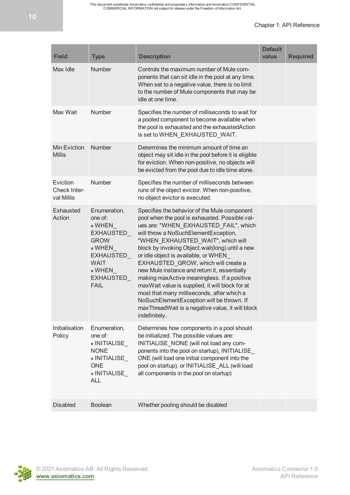This document constitutes Axiomatics confidential and proprietary information and Axiomatics CONFIDENTIAL COMMERCIAL INFORMATION not subject to release under the Freedom of Information Act.

#### Chapter 1: API Reference

| <b>Field</b>                           | <b>Type</b>                                                                                                                                                                                     | <b>Description</b>                                                                                                                                                                                                                                                                                                                                                                                                                                                                                                                                                                                                                                                         | <b>Default</b><br>value | <b>Required</b> |
|----------------------------------------|-------------------------------------------------------------------------------------------------------------------------------------------------------------------------------------------------|----------------------------------------------------------------------------------------------------------------------------------------------------------------------------------------------------------------------------------------------------------------------------------------------------------------------------------------------------------------------------------------------------------------------------------------------------------------------------------------------------------------------------------------------------------------------------------------------------------------------------------------------------------------------------|-------------------------|-----------------|
| Max Idle                               | Number                                                                                                                                                                                          | Controls the maximum number of Mule com-<br>ponents that can sit idle in the pool at any time.<br>When set to a negative value, there is no limit<br>to the number of Mule components that may be<br>idle at one time.                                                                                                                                                                                                                                                                                                                                                                                                                                                     |                         |                 |
| Max Wait                               | Number                                                                                                                                                                                          | Specifies the number of milliseconds to wait for<br>a pooled component to become available when<br>the pool is exhausted and the exhausted Action<br>is set to WHEN_EXHAUSTED_WAIT.                                                                                                                                                                                                                                                                                                                                                                                                                                                                                        |                         |                 |
| Min Eviction<br><b>Millis</b>          | Number                                                                                                                                                                                          | Determines the minimum amount of time an<br>object may sit idle in the pool before it is eligible<br>for eviction. When non-positive, no objects will<br>be evicted from the pool due to idle time alone.                                                                                                                                                                                                                                                                                                                                                                                                                                                                  |                         |                 |
| Eviction<br>Check Inter-<br>val Millis | Number                                                                                                                                                                                          | Specifies the number of milliseconds between<br>runs of the object evictor. When non-positive,<br>no object evictor is executed.                                                                                                                                                                                                                                                                                                                                                                                                                                                                                                                                           |                         |                 |
| <b>Exhausted</b><br>Action             | Enumeration,<br>one of:<br>$\blacksquare$ WHEN<br>EXHAUSTED_<br><b>GROW</b><br>$\blacksquare$ WHEN<br><b>EXHAUSTED</b><br><b>WAIT</b><br>$\blacksquare$ WHEN<br><b>EXHAUSTED</b><br><b>FAIL</b> | Specifies the behavior of the Mule component<br>pool when the pool is exhausted. Possible val-<br>ues are: "WHEN_EXHAUSTED_FAIL", which<br>will throw a NoSuchElementException,<br>"WHEN_EXHAUSTED_WAIT", which will<br>block by invoking Object.wait(long) until a new<br>or idle object is available, or WHEN<br>EXHAUSTED_GROW, which will create a<br>new Mule instance and return it, essentially<br>making maxActive meaningless. If a positive<br>maxWait value is supplied, it will block for at<br>most that many milliseconds, after which a<br>NoSuchElementException will be thrown. If<br>max Thread Wait is a negative value, it will block<br>indefinitely. |                         |                 |
| Initialisation<br>Policy               | Enumeration,<br>one of:<br>- INITIALISE<br><b>NONE</b><br>$\blacksquare$ INITIALISE<br><b>ONE</b><br>$\blacksquare$ INITIALISE<br><b>ALL</b>                                                    | Determines how components in a pool should<br>be initialized. The possible values are:<br>INITIALISE_NONE (will not load any com-<br>ponents into the pool on startup), INITIALISE<br>ONE (will load one initial component into the<br>pool on startup), or INITIALISE_ALL (will load<br>all components in the pool on startup)                                                                                                                                                                                                                                                                                                                                            |                         |                 |
| <b>Disabled</b>                        | <b>Boolean</b>                                                                                                                                                                                  | Whether pooling should be disabled                                                                                                                                                                                                                                                                                                                                                                                                                                                                                                                                                                                                                                         |                         |                 |

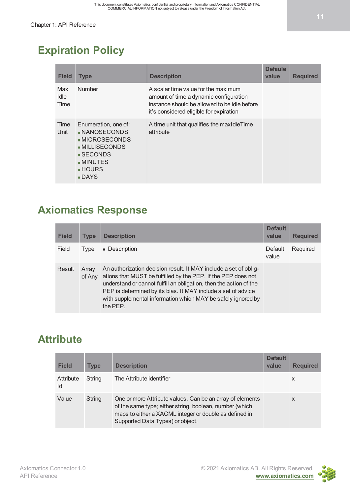### <span id="page-10-0"></span>**Expiration Policy**

| <b>Field</b>        | <b>Type</b>                                                                                                                                           | <b>Description</b>                                                                                                                                                       | <b>Defaule</b><br>value | <b>Required</b> |
|---------------------|-------------------------------------------------------------------------------------------------------------------------------------------------------|--------------------------------------------------------------------------------------------------------------------------------------------------------------------------|-------------------------|-----------------|
| Max<br>Idle<br>Time | <b>Number</b>                                                                                                                                         | A scalar time value for the maximum<br>amount of time a dynamic configuration<br>instance should be allowed to be idle before<br>it's considered eligible for expiration |                         |                 |
| Time<br>Unit        | Enumeration, one of:<br>NANOSECONDS<br>- MICROSECONDS<br>$\blacksquare$ MILLISECONDS<br>■ SECONDS<br><b>MINUTES</b><br>■ HOURS<br>$\blacksquare$ DAYS | A time unit that qualifies the maxidle Time<br>attribute                                                                                                                 |                         |                 |

#### <span id="page-10-1"></span>**Axiomatics Response**

| <b>Field</b> | <b>Type</b>     | <b>Description</b>                                                                                                                                                                                                                                                                                                                                   | <b>Default</b><br>value | <b>Required</b> |
|--------------|-----------------|------------------------------------------------------------------------------------------------------------------------------------------------------------------------------------------------------------------------------------------------------------------------------------------------------------------------------------------------------|-------------------------|-----------------|
| Field        | Type            | • Description                                                                                                                                                                                                                                                                                                                                        | Default<br>value        | Required        |
| Result       | Array<br>of Any | An authorization decision result. It MAY include a set of oblig-<br>ations that MUST be fulfilled by the PEP. If the PEP does not<br>understand or cannot fulfill an obligation, then the action of the<br>PEP is determined by its bias. It MAY include a set of advice<br>with supplemental information which MAY be safely ignored by<br>the PEP. |                         |                 |

### <span id="page-10-2"></span>**Attribute**

| <b>Field</b>    | <b>Type</b> | <b>Description</b>                                                                                                                                                                                                 | <b>Default</b><br>value | <b>Required</b> |
|-----------------|-------------|--------------------------------------------------------------------------------------------------------------------------------------------------------------------------------------------------------------------|-------------------------|-----------------|
| Attribute<br>ld | String      | The Attribute identifier                                                                                                                                                                                           |                         | X               |
| Value           | String      | One or more Attribute values. Can be an array of elements<br>of the same type; either string, boolean, number (which<br>maps to either a XACML integer or double as defined in<br>Supported Data Types) or object. |                         | X               |